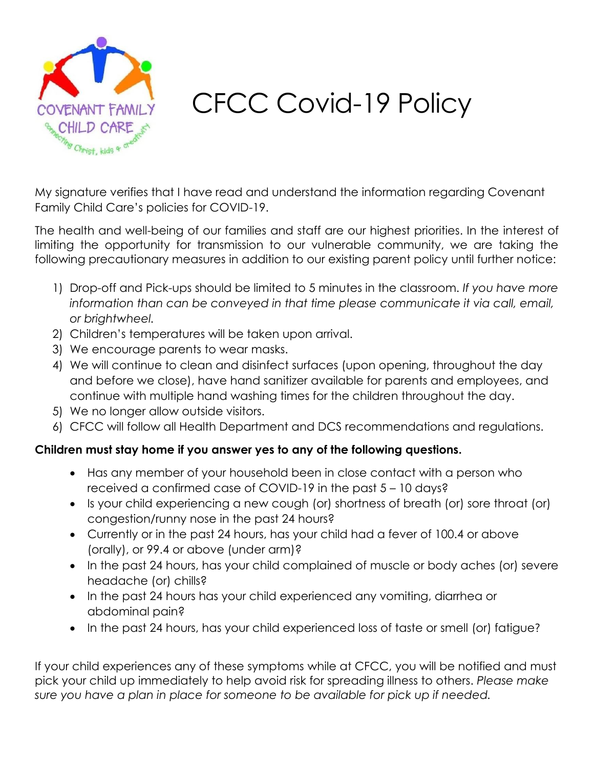

## CFCC Covid-19 Policy

My signature verifies that I have read and understand the information regarding Covenant Family Child Care's policies for COVID-19.

The health and well-being of our families and staff are our highest priorities. In the interest of limiting the opportunity for transmission to our vulnerable community, we are taking the following precautionary measures in addition to our existing parent policy until further notice:

- 1) Drop-off and Pick-ups should be limited to 5 minutes in the classroom. *If you have more*  information than can be conveyed in that time please communicate it via call, email, *or brightwheel.*
- 2) Children's temperatures will be taken upon arrival.
- 3) We encourage parents to wear masks.
- 4) We will continue to clean and disinfect surfaces (upon opening, throughout the day and before we close), have hand sanitizer available for parents and employees, and continue with multiple hand washing times for the children throughout the day.
- 5) We no longer allow outside visitors.
- 6) CFCC will follow all Health Department and DCS recommendations and regulations.

## **Children must stay home if you answer yes to any of the following questions.**

- Has any member of your household been in close contact with a person who received a confirmed case of COVID-19 in the past 5 – 10 days?
- Is your child experiencing a new cough (or) shortness of breath (or) sore throat (or) congestion/runny nose in the past 24 hours?
- Currently or in the past 24 hours, has your child had a fever of 100.4 or above (orally), or 99.4 or above (under arm)?
- In the past 24 hours, has your child complained of muscle or body aches (or) severe headache (or) chills?
- In the past 24 hours has your child experienced any vomiting, diarrhea or abdominal pain?
- In the past 24 hours, has your child experienced loss of taste or smell (or) fatigue?

If your child experiences any of these symptoms while at CFCC, you will be notified and must pick your child up immediately to help avoid risk for spreading illness to others. *Please make sure you have a plan in place for someone to be available for pick up if needed.*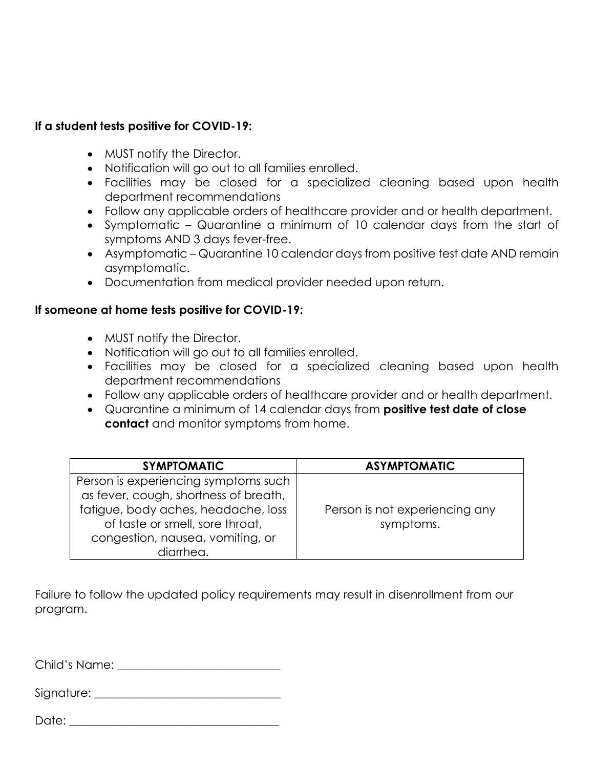## **If a student tests positive for COVID-19:**

- MUST notify the Director.
- Notification will go out to all families enrolled.
- Facilities may be closed for a specialized cleaning based upon health department recommendations
- Follow any applicable orders of healthcare provider and or health department.
- Symptomatic Quarantine a minimum of 10 calendar days from the start of symptoms AND 3 days fever-free.
- Asymptomatic Quarantine 10 calendar days from positive test date AND remain asymptomatic.
- Documentation from medical provider needed upon return.

## **If someone at home tests positive for COVID-19:**

- MUST notify the Director.
- Notification will go out to all families enrolled.
- Facilities may be closed for a specialized cleaning based upon health department recommendations
- Follow any applicable orders of healthcare provider and or health department.
- Quarantine a minimum of 14 calendar days from **positive test date of close contact** and monitor symptoms from home.

| <b>SYMPTOMATIC</b>                                                                                         | <b>ASYMPTOMATIC</b>                         |
|------------------------------------------------------------------------------------------------------------|---------------------------------------------|
| Person is experiencing symptoms such<br>as fever, cough, shortness of breath,                              |                                             |
| fatigue, body aches, headache, loss<br>of taste or smell, sore throat,<br>congestion, nausea, vomiting, or | Person is not experiencing any<br>symptoms. |
| diarrhea.                                                                                                  |                                             |

Failure to follow the updated policy requirements may result in disenrollment from our program.

Child's Name: \_\_\_\_\_\_\_\_\_\_\_\_\_\_\_\_\_\_\_\_\_\_\_\_\_\_\_\_

Signature:  $\Box$ 

| Date: |
|-------|
|-------|